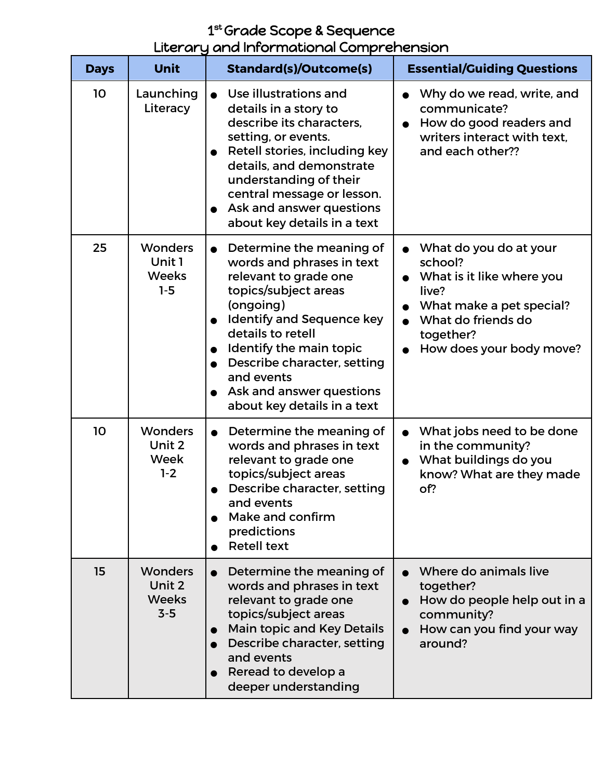## 1 st Grade Scope & Sequence

## Literary and Informational Comprehension

| <b>Days</b> | <b>Unit</b>                                       | <b>Standard(s)/Outcome(s)</b>                                                                                                                                                                                                                                                                                                | <b>Essential/Guiding Questions</b>                                                                                                                                 |
|-------------|---------------------------------------------------|------------------------------------------------------------------------------------------------------------------------------------------------------------------------------------------------------------------------------------------------------------------------------------------------------------------------------|--------------------------------------------------------------------------------------------------------------------------------------------------------------------|
| 10          | Launching<br>Literacy                             | Use illustrations and<br>$\bullet$<br>details in a story to<br>describe its characters,<br>setting, or events.<br>Retell stories, including key<br>details, and demonstrate<br>understanding of their<br>central message or lesson.<br>Ask and answer questions<br>about key details in a text                               | Why do we read, write, and<br>communicate?<br>How do good readers and<br>writers interact with text.<br>and each other??                                           |
| 25          | <b>Wonders</b><br>Unit 1<br><b>Weeks</b><br>$1-5$ | Determine the meaning of<br>$\bullet$<br>words and phrases in text<br>relevant to grade one<br>topics/subject areas<br>(ongoing)<br><b>Identify and Sequence key</b><br>details to retell<br>Identify the main topic<br>Describe character, setting<br>and events<br>Ask and answer questions<br>about key details in a text | What do you do at your<br>school?<br>What is it like where you<br>live?<br>What make a pet special?<br>What do friends do<br>together?<br>How does your body move? |
| 10          | <b>Wonders</b><br>Unit 2<br>Week<br>$1-2$         | Determine the meaning of<br>$\bullet$<br>words and phrases in text<br>relevant to grade one<br>topics/subject areas<br>Describe character, setting<br>and events<br>Make and confirm<br>predictions<br><b>Retell text</b>                                                                                                    | What jobs need to be done<br>in the community?<br>What buildings do you<br>know? What are they made<br>of?                                                         |
| 15          | <b>Wonders</b><br>Unit 2<br><b>Weeks</b><br>$3-5$ | Determine the meaning of<br>words and phrases in text<br>relevant to grade one<br>topics/subject areas<br><b>Main topic and Key Details</b><br>Describe character, setting<br>and events<br>Reread to develop a<br>deeper understanding                                                                                      | Where do animals live<br>together?<br>How do people help out in a<br>community?<br>How can you find your way<br>around?                                            |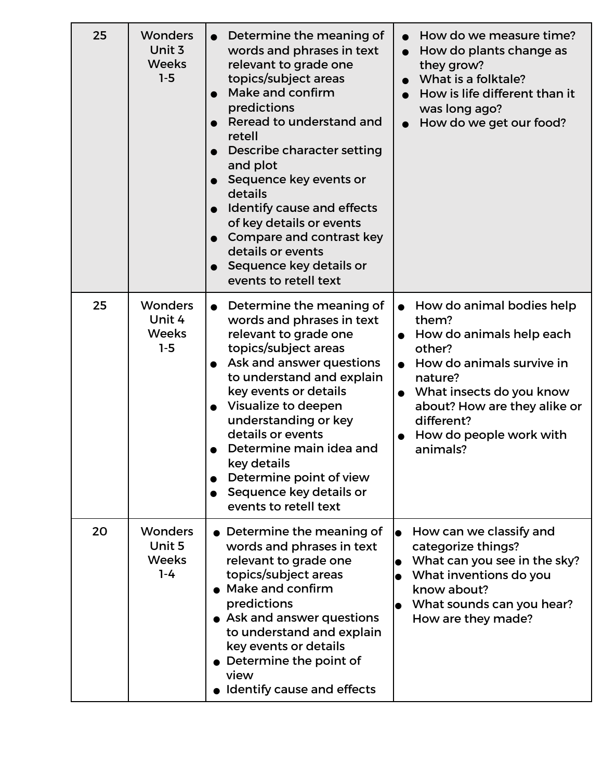| 25 | <b>Wonders</b><br>Unit 3<br><b>Weeks</b><br>$1 - 5$ | Determine the meaning of<br>$\bullet$<br>words and phrases in text<br>relevant to grade one<br>topics/subject areas<br>Make and confirm<br>$\bullet$<br>predictions<br>Reread to understand and<br>retell<br>Describe character setting<br>$\bullet$<br>and plot<br>Sequence key events or<br>details<br>Identify cause and effects<br>$\bullet$<br>of key details or events<br><b>Compare and contrast key</b><br>$\bullet$<br>details or events<br>Sequence key details or<br>$\bullet$<br>events to retell text | How do we measure time?<br>How do plants change as<br>they grow?<br>What is a folktale?<br>How is life different than it<br>was long ago?<br>How do we get our food?                                                              |
|----|-----------------------------------------------------|--------------------------------------------------------------------------------------------------------------------------------------------------------------------------------------------------------------------------------------------------------------------------------------------------------------------------------------------------------------------------------------------------------------------------------------------------------------------------------------------------------------------|-----------------------------------------------------------------------------------------------------------------------------------------------------------------------------------------------------------------------------------|
| 25 | <b>Wonders</b><br>Unit 4<br><b>Weeks</b><br>$1-5$   | Determine the meaning of<br>$\bullet$<br>words and phrases in text<br>relevant to grade one<br>topics/subject areas<br>Ask and answer questions<br>$\bullet$<br>to understand and explain<br>key events or details<br>Visualize to deepen<br>understanding or key<br>details or events<br>Determine main idea and<br>key details<br>Determine point of view<br>Sequence key details or<br>events to retell text                                                                                                    | How do animal bodies help<br>them?<br>How do animals help each<br>other?<br>How do animals survive in<br>nature?<br>What insects do you know<br>about? How are they alike or<br>different?<br>How do people work with<br>animals? |
| 20 | <b>Wonders</b><br>Unit 5<br><b>Weeks</b><br>$1 - 4$ | • Determine the meaning of<br>words and phrases in text<br>relevant to grade one<br>topics/subject areas<br>Make and confirm<br>predictions<br>• Ask and answer questions<br>to understand and explain<br>key events or details<br>Determine the point of<br>view<br>Identify cause and effects                                                                                                                                                                                                                    | How can we classify and<br>categorize things?<br>What can you see in the sky?<br>What inventions do you<br>know about?<br>What sounds can you hear?<br>How are they made?                                                         |